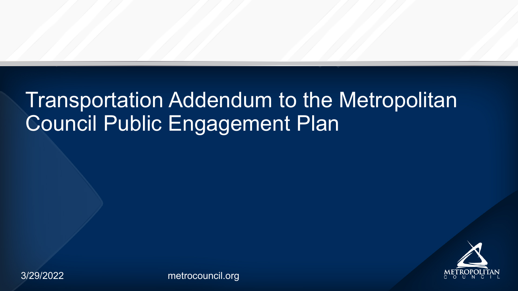3/29/2022

### Transportation Addendum to the Metropolitan Council Public Engagement Plan

[metrocouncil.org](http://metrocouncil.org/)

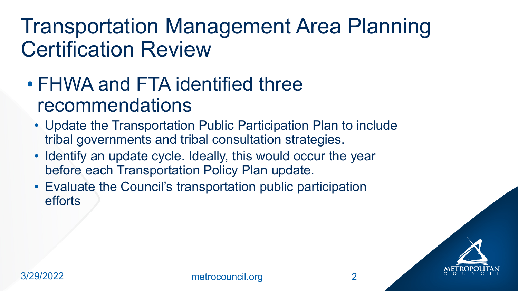### **Transportation Management Area Planning Certification Review**

- FHWA and FTA identified three recommendations
	- Update the Transportation Public Participation Plan to include tribal governments and tribal consultation strategies.
	- . Identify an update cycle. Ideally, this would occur the year before each Transportation Policy Plan update.
	- Evaluate the Council's transportation public participation efforts



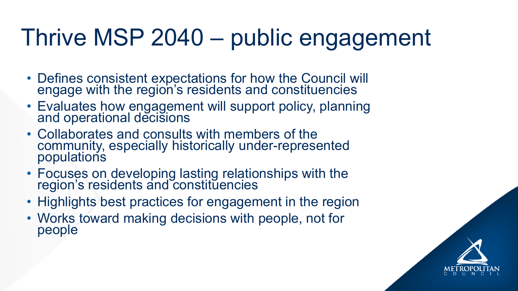## Thrive MSP 2040 – public engagement

- Defines consistent expectations for how the Council will<br>engage with the region's residents and constituencies
- Evaluates how engagement will support policy, planning<br>and operational decisions
- Collaborates and consults with members of the community, especially historically under-represented populations
- Focuses on developing lasting relationships with the region's residents and constituencies
- Highlights best practices for engagement in the region • Works toward making decisions with people, not for
- people

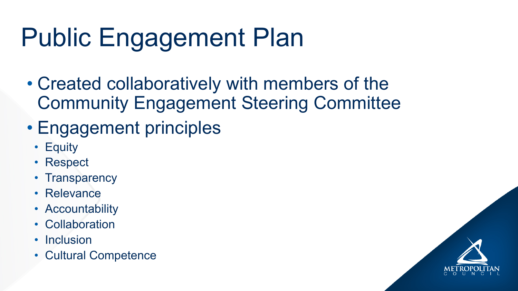## **Public Engagement Plan**

- Created collaboratively with members of the **Community Engagement Steering Committee**
- Engagement principles
	- Equity
	- Respect
	- Transparency
	- Relevance
	- Accountability
	- Collaboration
	- Inclusion  $\bullet$
	- Cultural Competence

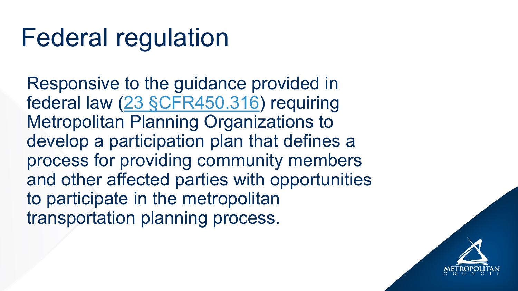## **Federal regulation**

Responsive to the guidance provided in federal law (23 §CFR450.316) requiring **Metropolitan Planning Organizations to** develop a participation plan that defines a process for providing community members and other affected parties with opportunities to participate in the metropolitan transportation planning process.

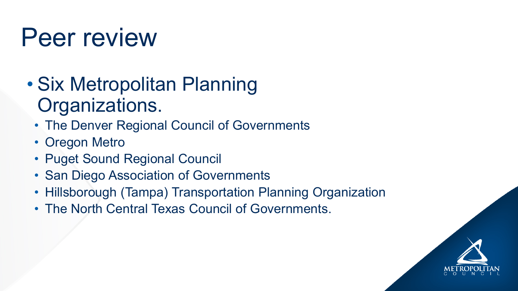## Peer review

- Six Metropolitan Planning Organizations.
	- The Denver Regional Council of Governments
	- Oregon Metro
	- Puget Sound Regional Council
	- San Diego Association of Governments
	- Hillsborough (Tampa) Transportation Planning Organization
	- The North Central Texas Council of Governments.

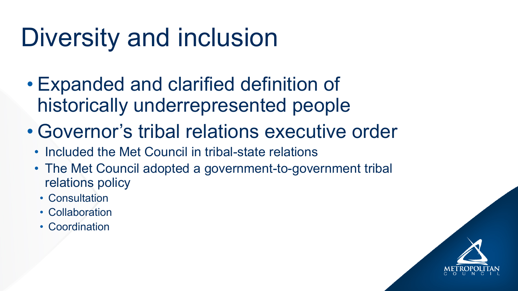## Diversity and inclusion

- Expanded and clarified definition of historically underrepresented people • Governor's tribal relations executive order • Included the Met Council in tribal-state relations
- 
- - The Met Council adopted a government-to-government tribal relations policy
		- Consultation
		- Collaboration
		- Coordination

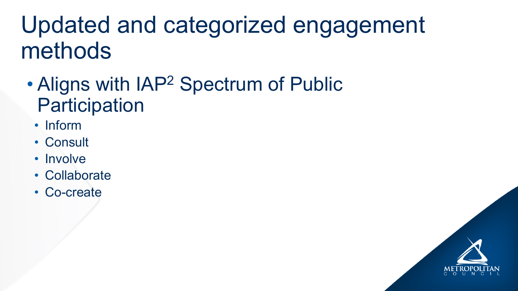## Updated and categorized engagement methods

- . Aligns with IAP<sup>2</sup> Spectrum of Public Participation
	- · Inform
	- Consult
	- Involve
	- Collaborate
	- Co-create

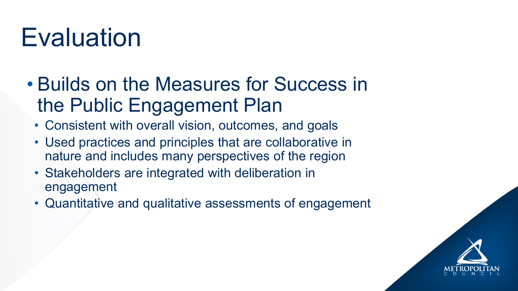## Evaluation

- Builds on the Measures for Success in the Public Engagement Plan
	-
	- Consistent with overall vision, outcomes, and goals • Used practices and principles that are collaborative in nature and includes many perspectives of the region • Stakeholders are integrated with deliberation in
	- engagement
	- Quantitative and qualitative assessments of engagement

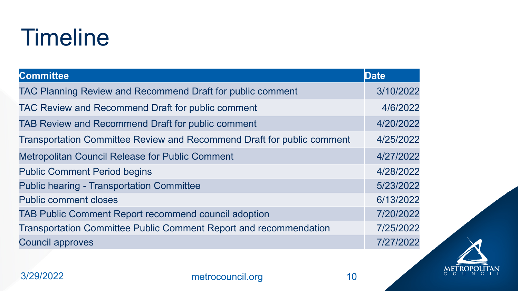## Timeline

### **Committee**

TAC Planning Review and Recommend Draft for public comments TAC Review and Recommend Draft for public comments TAB Review and Recommend Draft for public comment **Transportation Committee Review and Recommend** Metropolitan Council Release for Public Comment **Public Comment Period begins** Public hearing - Transportation Committee Public comment closes TAB Public Comment Report recommend council add **Transportation Committee Public Comment Report a** Council approves

3/29/2022 [metrocouncil.org](http://metrocouncil.org/) 10

|                          | <b>Date</b> |
|--------------------------|-------------|
| plic comment             | 3/10/2022   |
| lent                     | 4/6/2022    |
| ent                      | 4/20/2022   |
| Draft for public comment | 4/25/2022   |
|                          | 4/27/2022   |
|                          | 4/28/2022   |
|                          | 5/23/2022   |
|                          | 6/13/2022   |
| option                   | 7/20/2022   |
| and recommendation       | 7/25/2022   |
|                          | 7/27/2022   |